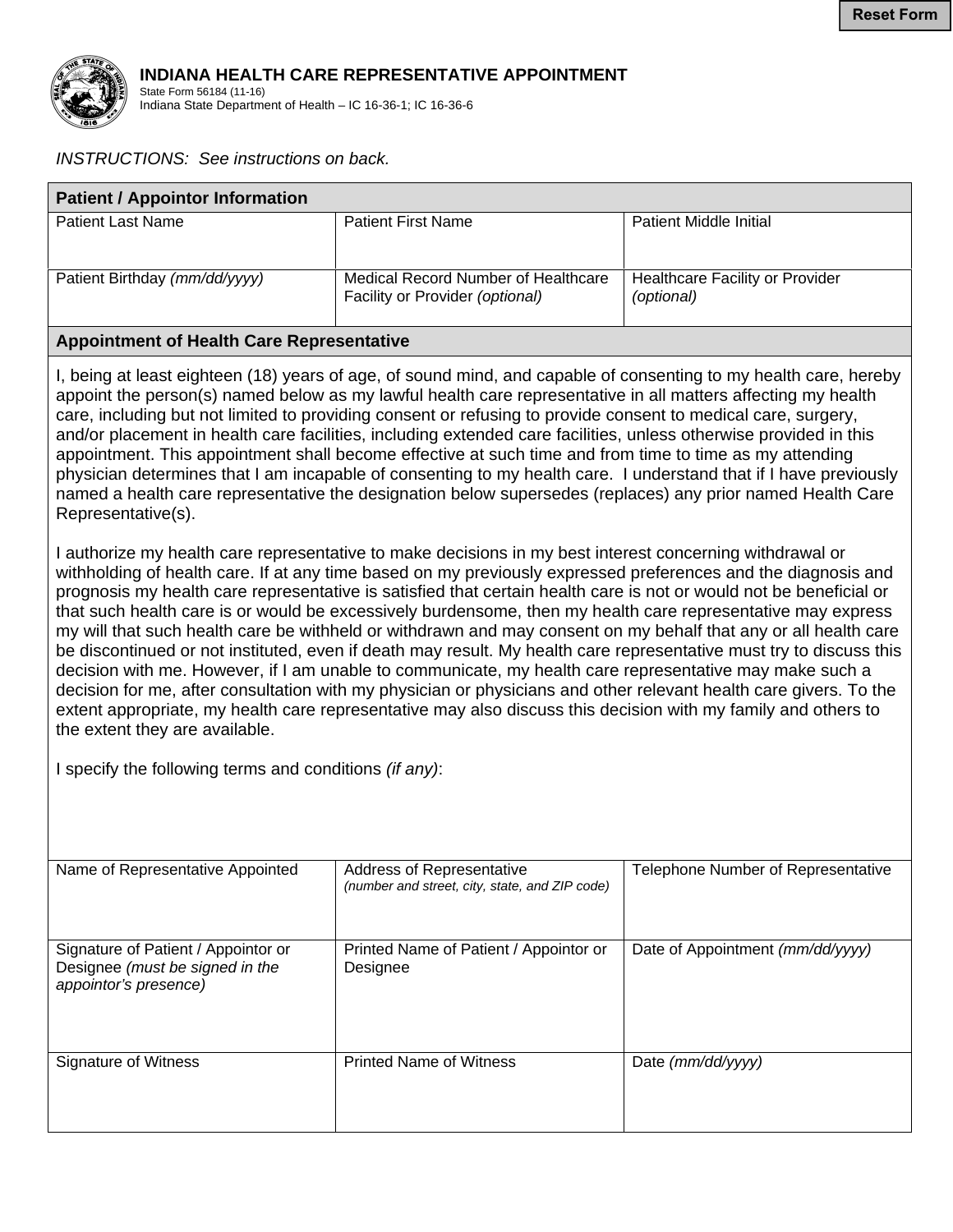

## **INDIANA HEALTH CARE REPRESENTATIVE APPOINTMENT**

State Form 56184 (11-16) Indiana State Department of Health – IC 16-36-1; IC 16-36-6

## *INSTRUCTIONS: See instructions on back.*

| <b>Patient / Appointor Information</b> |                                                                        |                                               |  |
|----------------------------------------|------------------------------------------------------------------------|-----------------------------------------------|--|
| <b>Patient Last Name</b>               | <b>Patient First Name</b>                                              | Patient Middle Initial                        |  |
| Patient Birthday (mm/dd/yyyy)          | Medical Record Number of Healthcare<br>Facility or Provider (optional) | Healthcare Facility or Provider<br>(optional) |  |

## **Appointment of Health Care Representative**

I, being at least eighteen (18) years of age, of sound mind, and capable of consenting to my health care, hereby appoint the person(s) named below as my lawful health care representative in all matters affecting my health care, including but not limited to providing consent or refusing to provide consent to medical care, surgery, and/or placement in health care facilities, including extended care facilities, unless otherwise provided in this appointment. This appointment shall become effective at such time and from time to time as my attending physician determines that I am incapable of consenting to my health care. I understand that if I have previously named a health care representative the designation below supersedes (replaces) any prior named Health Care Representative(s).

I authorize my health care representative to make decisions in my best interest concerning withdrawal or withholding of health care. If at any time based on my previously expressed preferences and the diagnosis and prognosis my health care representative is satisfied that certain health care is not or would not be beneficial or that such health care is or would be excessively burdensome, then my health care representative may express my will that such health care be withheld or withdrawn and may consent on my behalf that any or all health care be discontinued or not instituted, even if death may result. My health care representative must try to discuss this decision with me. However, if I am unable to communicate, my health care representative may make such a decision for me, after consultation with my physician or physicians and other relevant health care givers. To the extent appropriate, my health care representative may also discuss this decision with my family and others to the extent they are available.

I specify the following terms and conditions *(if any)*:

| Name of Representative Appointed                                                                | Address of Representative<br>(number and street, city, state, and ZIP code) | Telephone Number of Representative |
|-------------------------------------------------------------------------------------------------|-----------------------------------------------------------------------------|------------------------------------|
| Signature of Patient / Appointor or<br>Designee (must be signed in the<br>appointor's presence) | Printed Name of Patient / Appointor or<br>Designee                          | Date of Appointment (mm/dd/yyyy)   |
| Signature of Witness                                                                            | <b>Printed Name of Witness</b>                                              | Date $(mm/dd/yyyy)$                |